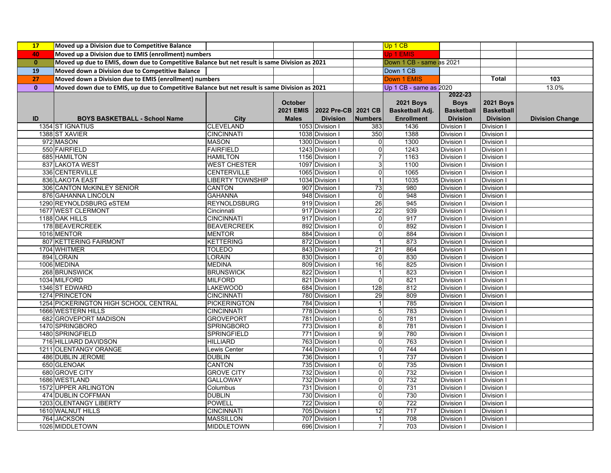| <b>17</b>    | Moved up a Division due to Competitive Balance                                                |                         |                |                               |                          | Up 1 CB                |                   |                   |                        |
|--------------|-----------------------------------------------------------------------------------------------|-------------------------|----------------|-------------------------------|--------------------------|------------------------|-------------------|-------------------|------------------------|
| 40           | Moved up a Division due to EMIS (enrollment) numbers                                          |                         |                |                               |                          | Up 1 EMIS              |                   |                   |                        |
| $\mathbf{0}$ | Moved up due to EMIS, down due to Competitive Balance but net result is same Division as 2021 |                         |                |                               | Down 1 CB - same as 2021 |                        |                   |                   |                        |
| 19           | Moved down a Division due to Competitive Balance                                              |                         |                |                               |                          | Down 1 CB              |                   |                   |                        |
| 27           | Moved down a Division due to EMIS (enrollment) numbers                                        |                         |                |                               |                          | Down 1 EMIS            |                   | <b>Total</b>      | 103                    |
| $\mathbf{0}$ | Moved down due to EMIS, up due to Competitive Balance but net result is same Division as 2021 |                         |                |                               |                          | Up 1 CB - same as 2020 |                   |                   | 13.0%                  |
|              |                                                                                               |                         |                |                               |                          |                        | 2022-23           |                   |                        |
|              |                                                                                               |                         | <b>October</b> |                               |                          | <b>2021 Boys</b>       | <b>Boys</b>       | <b>2021 Boys</b>  |                        |
|              |                                                                                               |                         |                | 2021 EMIS 2022 Pre-CB 2021 CB |                          | Basketball Adj.        | <b>Basketball</b> | <b>Basketball</b> |                        |
| ID           | <b>BOYS BASKETBALL - School Name</b>                                                          | <b>City</b>             | <b>Males</b>   | <b>Division</b>               | <b>Numbers</b>           | <b>Enrollment</b>      | <b>Division</b>   | <b>Division</b>   | <b>Division Change</b> |
|              | 1354 ST IGNATIUS                                                                              | <b>CLEVELAND</b>        |                | 1053 Division I               | 383                      | 1436                   | Division I        | Division I        |                        |
|              | 1388 ST XAVIER                                                                                | <b>CINCINNATI</b>       |                | 1038 Division I               | 350                      | 1388                   | Division I        | Division I        |                        |
|              | 972 MASON                                                                                     | <b>MASON</b>            |                | 1300 Division I               | 0                        | 1300                   | Division I        | Division I        |                        |
|              | 550 FAIRFIELD                                                                                 | <b>FAIRFIELD</b>        |                | 1243 Division I               | O                        | 1243                   | Division I        | Division I        |                        |
|              | 685 HAMILTON                                                                                  | <b>HAMILTON</b>         |                | 1156 Division I               | $\overline{7}$           | 1163                   | Division I        | Division I        |                        |
|              | 837 LAKOTA WEST                                                                               | <b>WEST CHESTER</b>     |                | 1097 Division I               | ω                        | 1100                   | Division I        | Division I        |                        |
|              | 336 CENTERVILLE                                                                               | <b>CENTERVILLE</b>      |                | 1065 Division I               | $\overline{0}$           | 1065                   | Division I        | Division I        |                        |
|              | 836 LAKOTA EAST                                                                               | <b>LIBERTY TOWNSHIP</b> |                | 1034 Division I               | $\mathbf{1}$             | 1035                   | Division I        | Division I        |                        |
|              | 306 CANTON McKINLEY SENIOR                                                                    | <b>CANTON</b>           |                | 907 Division I                | 73                       | 980                    | Division I        | Division I        |                        |
|              | 876 GAHANNA LINCOLN                                                                           | <b>GAHANNA</b>          |                | 948 Division I                | $\overline{\mathbf{0}}$  | 948                    | Division I        | Division I        |                        |
|              | 1290 REYNOLDSBURG eSTEM                                                                       | <b>REYNOLDSBURG</b>     |                | 919 Division I                | 26                       | 945                    | Division I        | Division I        |                        |
|              | 1677 WEST CLERMONT                                                                            | Cincinnati              |                | 917 Division I                | 22                       | 939                    | Division I        | Division I        |                        |
|              | 1188 OAK HILLS                                                                                | <b>CINCINNATI</b>       |                | 917 Division I                | $\mathbf 0$              | 917                    | Division I        | Division I        |                        |
|              | 178 BEAVERCREEK                                                                               | <b>BEAVERCREEK</b>      |                | 892 Division I                | O                        | 892                    | Division I        | Division I        |                        |
|              | 1016 MENTOR                                                                                   | <b>MENTOR</b>           |                | 884 Division I                | $\mathbf 0$              | 884                    | Division I        | Division I        |                        |
|              | 807 KETTERING FAIRMONT                                                                        | <b>KETTERING</b>        |                | 872 Division I                | $\mathbf{1}$             | 873                    | Division I        | Division I        |                        |
|              | 1704 WHITMER                                                                                  | TOLEDO                  |                | 843 Division I                | 21                       | 864                    | <b>Division I</b> | Division I        |                        |
|              | 894 LORAIN                                                                                    | LORAIN                  |                | 830 Division I                | $\overline{0}$           | 830                    | Division I        | Division I        |                        |
|              | 1006 MEDINA                                                                                   | <b>MEDINA</b>           |                | 809 Division I                | 16                       | 825                    | Division I        | Division I        |                        |
|              | 268 BRUNSWICK                                                                                 | <b>BRUNSWICK</b>        |                | 822 Division I                | $\mathbf{1}$             | 823                    | Division I        | Division I        |                        |
|              | 1034 MILFORD                                                                                  | <b>MILFORD</b>          |                | 821 Division I                | $\mathbf 0$              | 821                    | Division I        | Division I        |                        |
|              | 1346 ST EDWARD                                                                                | <b>LAKEWOOD</b>         |                | 684 Division I                | 128                      | 812                    | <b>Division I</b> | Division I        |                        |
|              | 1274 PRINCETON                                                                                | <b>CINCINNATI</b>       |                | 780 Division I                | 29                       | 809                    | Division I        | Division I        |                        |
|              | 1254 PICKERINGTON HIGH SCHOOL CENTRAL                                                         | PICKERINGTON            |                | 784 Division I                |                          | 785                    | Division I        | Division I        |                        |
|              | 1666 WESTERN HILLS                                                                            | <b>CINCINNATI</b>       |                | 778 Division I                | 5                        | 783                    | Division I        | Division I        |                        |
|              | 682 GROVEPORT MADISON                                                                         | <b>GROVEPORT</b>        |                | 781 Division I                | $\mathbf 0$              | 781                    | Division I        | Division I        |                        |
|              | 1470 SPRINGBORO                                                                               | <b>SPRINGBORO</b>       |                | 773 Division I                | 8                        | 781                    | Division I        | Division I        |                        |
|              | 1480 SPRINGFIELD                                                                              | SPRINGFIELD             |                | 771 Division I                | 9                        | 780                    | Division I        | Division I        |                        |
|              | 716 HILLIARD DAVIDSON                                                                         | <b>HILLIARD</b>         |                | 763 Division I                | $\overline{0}$           | 763                    | Division I        | Division I        |                        |
|              | 1211 OLENTANGY ORANGE                                                                         | Lewis Center            |                | 744 Division I                | 0                        | 744                    | Division I        | Division I        |                        |
|              | 486 DUBLIN JEROME                                                                             | <b>DUBLIN</b>           |                | 736 Division I                |                          | 737                    | Division I        | Division I        |                        |
|              | 650 GLENOAK                                                                                   | <b>CANTON</b>           |                | 735 Division I                | $\overline{0}$           | 735                    | <b>Division I</b> | Division I        |                        |
|              | 680 GROVE CITY                                                                                | <b>GROVE CITY</b>       |                | 732 Division I                | O                        | 732                    | Division I        | Division I        |                        |
|              | 1686 WESTLAND                                                                                 | <b>GALLOWAY</b>         |                | 732 Division I                | O                        | 732                    | Division I        | Division I        |                        |
|              | 1572 UPPER ARLINGTON                                                                          | Columbus                |                | 731 Division I                | O                        | 731                    | Division I        | Division I        |                        |
|              | 474 DUBLIN COFFMAN                                                                            | <b>DUBLIN</b>           |                | 730 Division I                | $\mathbf 0$              | 730                    | Division I        | Division I        |                        |
|              | 1203 OLENTANGY LIBERTY                                                                        | <b>POWELL</b>           |                | 722 Division I                | $\overline{0}$           | 722                    | Division I        | Division I        |                        |
|              | 1610 WALNUT HILLS                                                                             | <b>CINCINNATI</b>       |                | 705 Division I                | 12                       | 717                    | Division I        | Division I        |                        |
|              | 764 JACKSON                                                                                   | <b>MASSILLON</b>        |                | 707 Division I                |                          | 708                    | Division I        | Division I        |                        |
|              | 1026 MIDDLETOWN                                                                               | <b>MIDDLETOWN</b>       |                | 696 Division I                | $\overline{7}$           | 703                    | Division I        | Division I        |                        |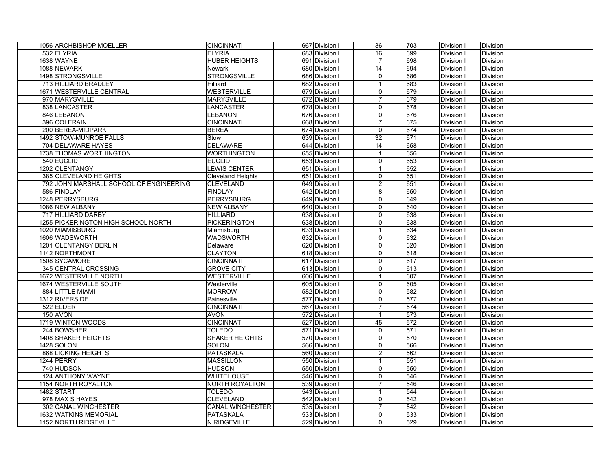| 1056 ARCHBISHOP MOELLER                 | <b>CINCINNATI</b>       | 667 Division I | 36                      | 703 | Division I | Division I |  |
|-----------------------------------------|-------------------------|----------------|-------------------------|-----|------------|------------|--|
| 532 ELYRIA                              | <b>ELYRIA</b>           | 683 Division I | 16                      | 699 | Division I | Division I |  |
| 1638 WAYNE                              | <b>HUBER HEIGHTS</b>    | 691 Division I | $\overline{7}$          | 698 | Division I | Division I |  |
| 1088 NEWARK                             | Newark                  | 680 Division I | 14                      | 694 | Division I | Division I |  |
| 1498 STRONGSVILLE                       | <b>STRONGSVILLE</b>     | 686 Division I | $\overline{\mathsf{o}}$ | 686 | Division I | Division I |  |
| 713 HILLIARD BRADLEY                    | Hilliard                | 682 Division I | $\overline{1}$          | 683 | Division I | Division I |  |
| 1671 WESTERVILLE CENTRAL                | <b>WESTERVILLE</b>      | 679 Division I | $\overline{\mathsf{o}}$ | 679 | Division I | Division I |  |
| 970 MARYSVILLE                          | <b>MARYSVILLE</b>       | 672 Division I | $\overline{7}$          | 679 | Division I | Division I |  |
| 838 LANCASTER                           | <b>LANCASTER</b>        | 678 Division I | $\overline{\mathsf{o}}$ | 678 | Division I | Division I |  |
| 846 LEBANON                             | <b>LEBANON</b>          | 676 Division I | $\overline{0}$          | 676 | Division I | Division I |  |
| 396 COLERAIN                            | <b>CINCINNATI</b>       | 668 Division I | $\overline{7}$          | 675 | Division I | Division I |  |
| 200 BEREA-MIDPARK                       | <b>BEREA</b>            | 674 Division I | $\overline{0}$          | 674 | Division I | Division I |  |
| 1492 STOW-MUNROE FALLS                  | Stow                    | 639 Division I | 32                      | 671 | Division I | Division I |  |
| 704 DELAWARE HAYES                      | <b>DELAWARE</b>         | 644 Division I | 14                      | 658 | Division I | Division I |  |
| 1738 THOMAS WORTHINGTON                 | <b>WORTHINGTON</b>      | 655 Division I | $\mathbf 1$             | 656 | Division I | Division I |  |
| 540 EUCLID                              | <b>EUCLID</b>           | 653 Division I | $\overline{0}$          | 653 | Division I | Division I |  |
| 1202 OLENTANGY                          | <b>LEWIS CENTER</b>     | 651 Division I | $\mathbf 1$             | 652 | Division I | Division I |  |
| 385 CLEVELAND HEIGHTS                   | Cleveland Heights       | 651 Division I | $\overline{0}$          | 651 | Division I | Division I |  |
| 792 JOHN MARSHALL SCHOOL OF ENGINEERING | <b>CLEVELAND</b>        | 649 Division I | $\overline{c}$          | 651 | Division I | Division I |  |
| 586 FINDLAY                             | <b>FINDLAY</b>          | 642 Division I | 8 <sup>1</sup>          | 650 | Division I | Division I |  |
| 1248 PERRYSBURG                         | <b>PERRYSBURG</b>       | 649 Division I | $\overline{0}$          | 649 | Division I | Division I |  |
| 1086 NEW ALBANY                         | <b>NEW ALBANY</b>       | 640 Division I | $\overline{0}$          | 640 | Division I | Division I |  |
| 717 HILLIARD DARBY                      | <b>HILLIARD</b>         | 638 Division I | $\overline{0}$          | 638 | Division I | Division I |  |
| 1255 PICKERINGTON HIGH SCHOOL NORTH     | <b>PICKERINGTON</b>     | 638 Division I | $\overline{0}$          | 638 | Division I | Division I |  |
| 1020 MIAMISBURG                         | Miamisburg              | 633 Division I |                         | 634 | Division I | Division I |  |
| 1606 WADSWORTH                          | <b>WADSWORTH</b>        | 632 Division I | $\overline{0}$          | 632 | Division I | Division I |  |
| 1201 OLENTANGY BERLIN                   | Delaware                | 620 Division I | $\overline{0}$          | 620 | Division I | Division I |  |
| 1142 NORTHMONT                          | <b>CLAYTON</b>          | 618 Division I | $\overline{0}$          | 618 | Division I | Division I |  |
| 1508 SYCAMORE                           | <b>CINCINNATI</b>       | 617 Division I | $\overline{0}$          | 617 | Division I | Division I |  |
| 345 CENTRAL CROSSING                    | <b>GROVE CITY</b>       | 613 Division I | $\overline{0}$          | 613 | Division I | Division I |  |
| 1672 WESTERVILLE NORTH                  | <b>WESTERVILLE</b>      | 606 Division I | $\mathbf{1}$            | 607 | Division I | Division I |  |
| 1674 WESTERVILLE SOUTH                  | Westerville             | 605 Division I | $\overline{0}$          | 605 | Division I | Division I |  |
| 884 LITTLE MIAMI                        | <b>MORROW</b>           | 582 Division I | $\overline{0}$          | 582 | Division I | Division I |  |
| 1312 RIVERSIDE                          | Painesville             | 577 Division I | $\overline{0}$          | 577 | Division I | Division I |  |
| 522 ELDER                               | <b>CINCINNATI</b>       | 567 Division I | $\overline{7}$          | 574 | Division I | Division I |  |
| 150 AVON                                | <b>AVON</b>             | 572 Division I |                         | 573 | Division I | Division I |  |
| 1719 WINTON WOODS                       | <b>CINCINNATI</b>       | 527 Division I | 45                      | 572 | Division I | Division I |  |
| 244 BOWSHER                             | <b>TOLEDO</b>           | 571 Division I | $\overline{0}$          | 571 | Division I | Division I |  |
| <b>1408 SHAKER HEIGHTS</b>              | <b>SHAKER HEIGHTS</b>   | 570 Division I | $\overline{0}$          | 570 | Division I | Division I |  |
| 1428 SOLON                              | <b>SOLON</b>            | 566 Division I | $\overline{0}$          | 566 | Division I | Division I |  |
| 868 LICKING HEIGHTS                     | PATASKALA               | 560 Division I | $\overline{2}$          | 562 | Division I | Division I |  |
| 1244 PERRY                              | <b>MASSILLON</b>        | 550 Division I |                         | 551 | Division I | Division I |  |
| 740 HUDSON                              | <b>HUDSON</b>           | 550 Division I | $\pmb{0}$               | 550 | Division I | Division I |  |
| 124 ANTHONY WAYNE                       | <b>WHITEHOUSE</b>       | 546 Division I | $\pmb{0}$               | 546 | Division I | Division I |  |
| 1154 NORTH ROYALTON                     | <b>NORTH ROYALTON</b>   | 539 Division I | $\overline{7}$          | 546 | Division I | Division I |  |
| 1482 START                              | <b>TOLEDO</b>           | 543 Division I |                         | 544 | Division I | Division I |  |
| 978 MAX S HAYES                         | <b>CLEVELAND</b>        | 542 Division I | $\pmb{0}$               | 542 | Division I | Division I |  |
| 302 CANAL WINCHESTER                    | <b>CANAL WINCHESTER</b> | 535 Division I |                         | 542 | Division I | Division I |  |
| <b>1632 WATKINS MEMORIAL</b>            | <b>PATASKALA</b>        | 533 Division I | $\mathbf 0$             | 533 | Division I | Division I |  |
| 1152 NORTH RIDGEVILLE                   | N RIDGEVILLE            | 529 Division I | $\overline{0}$          | 529 | Division I | Division I |  |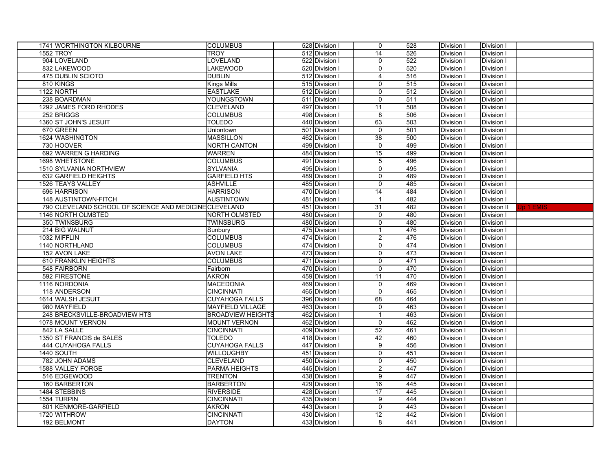| 1741 WORTHINGTON KILBOURNE                             | <b>COLUMBUS</b>          | 528 Division I | 0                       | 528              | Division I        | Division I  |           |
|--------------------------------------------------------|--------------------------|----------------|-------------------------|------------------|-------------------|-------------|-----------|
| 1552 TROY                                              | <b>TROY</b>              | 512 Division I | 14                      | 526              | Division I        | Division I  |           |
| 904 LOVELAND                                           | <b>LOVELAND</b>          | 522 Division I | $\overline{0}$          | 522              | Division I        | Division I  |           |
| 832 LAKEWOOD                                           | LAKEWOOD                 | 520 Division I | $\overline{0}$          | 520              | Division I        | Division I  |           |
| <b>475 DUBLIN SCIOTO</b>                               | <b>DUBLIN</b>            | 512 Division I | $\overline{\mathbf{A}}$ | 516              | Division I        | Division I  |           |
| 810 KINGS                                              | <b>Kings Mills</b>       | 515 Division I | $\overline{0}$          | 515              | Division I        | Division I  |           |
| 1122 NORTH                                             | <b>EASTLAKE</b>          | 512 Division I | $\overline{0}$          | 512              | Division I        | Division I  |           |
| 238 BOARDMAN                                           | <b>YOUNGSTOWN</b>        | 511 Division I | $\overline{0}$          | 511              | Division I        | Division I  |           |
| 1292 JAMES FORD RHODES                                 | <b>CLEVELAND</b>         | 497 Division I | 11                      | 508              | Division I        | Division I  |           |
| 252 BRIGGS                                             | <b>COLUMBUS</b>          | 498 Division I | 8 <sup>1</sup>          | 506              | Division I        | Division I  |           |
| 1360 ST JOHN'S JESUIT                                  | <b>TOLEDO</b>            | 440 Division I | 63                      | $\overline{503}$ | Division I        | Division I  |           |
| 670 GREEN                                              | Uniontown                | 501 Division I | $\overline{0}$          | 501              | Division I        | Division I  |           |
| 1624 WASHINGTON                                        | <b>MASSILLON</b>         | 462 Division I | 38                      | 500              | Division I        | Division I  |           |
| 730 HOOVER                                             | <b>NORTH CANTON</b>      | 499 Division I | $\overline{0}$          | 499              | Division I        | Division I  |           |
| 692 WARREN G HARDING                                   | <b>WARREN</b>            | 484 Division I | 15                      | 499              | Division I        | Division I  |           |
| 1698 WHETSTONE                                         | <b>COLUMBUS</b>          | 491 Division I | $\overline{5}$          | 496              | Division I        | Division I  |           |
| 1510 SYLVANIA NORTHVIEW                                | <b>SYLVANIA</b>          | 495 Division I | $\overline{0}$          | 495              | Division I        | Division I  |           |
| 632 GARFIELD HEIGHTS                                   | <b>GARFIELD HTS</b>      | 489 Division I | $\overline{0}$          | 489              | Division I        | Division I  |           |
| 1526 TEAYS VALLEY                                      | <b>ASHVILLE</b>          | 485 Division I | $\overline{0}$          | 485              | Division I        | Division I  |           |
| 696 HARRISON                                           | <b>HARRISON</b>          | 470 Division I | 14                      | 484              | Division I        | Division I  |           |
| 148 AUSTINTOWN-FITCH                                   | <b>AUSTINTOWN</b>        | 481 Division I |                         | 482              | Division I        | Division I  |           |
| 790 CLEVELAND SCHOOL OF SCIENCE AND MEDICINE CLEVELAND |                          | 451 Division I | 31                      | 482              | Division I        | Division II | Up 1 EMIS |
| 1146 NORTH OLMSTED                                     | <b>NORTH OLMSTED</b>     | 480 Division I | $\overline{0}$          | 480              | Division I        | Division I  |           |
| 350 TWINSBURG                                          | <b>TWINSBURG</b>         | 480 Division I | $\overline{0}$          | 480              | Division I        | Division I  |           |
| 214 BIG WALNUT                                         | Sunbury                  | 475 Division I |                         | 476              | Division I        | Division I  |           |
| 1032 MIFFLIN                                           | <b>COLUMBUS</b>          | 474 Division I | $\overline{c}$          | 476              | Division I        | Division I  |           |
| 1140 NORTHLAND                                         | <b>COLUMBUS</b>          | 474 Division I | $\overline{0}$          | 474              | Division I        | Division I  |           |
| 152 AVON LAKE                                          | <b>AVON LAKE</b>         | 473 Division I | $\overline{0}$          | 473              | Division I        | Division I  |           |
| 610 FRANKLIN HEIGHTS                                   | <b>COLUMBUS</b>          | 471 Division I | $\overline{0}$          | 471              | Division I        | Division I  |           |
| 548 FAIRBORN                                           | Fairborn                 | 470 Division I | $\overline{0}$          | 470              | Division I        | Division I  |           |
| 592 FIRESTONE                                          | <b>AKRON</b>             | 459 Division I | 11                      | 470              | Division I        | Division I  |           |
| 1116 NORDONIA                                          | <b>MACEDONIA</b>         | 469 Division I | $\overline{0}$          | 469              | Division I        | Division I  |           |
| 118 ANDERSON                                           | <b>CINCINNATI</b>        | 465 Division I | $\overline{0}$          | 465              | Division I        | Division I  |           |
| 1614 WALSH JESUIT                                      | <b>CUYAHOGA FALLS</b>    | 396 Division I | 68                      | 464              | Division I        | Division I  |           |
| 980 MAYFIELD                                           | <b>MAYFIELD VILLAGE</b>  | 463 Division I | $\overline{0}$          | 463              | Division I        | Division I  |           |
| 248 BRECKSVILLE-BROADVIEW HTS                          | <b>BROADVIEW HEIGHTS</b> | 462 Division I | $\mathbf{1}$            | 463              | Division I        | Division I  |           |
| 1078 MOUNT VERNON                                      | <b>MOUNT VERNON</b>      | 462 Division I | $\overline{0}$          | 462              | Division I        | Division I  |           |
| 842 LA SALLE                                           | <b>CINCINNATI</b>        | 409 Division I | 52                      | 461              | Division I        | Division I  |           |
| 1350 ST FRANCIS de SALES                               | <b>TOLEDO</b>            | 418 Division I | 42                      | 460              | <b>Division I</b> | Division I  |           |
| 444 CUYAHOGA FALLS                                     | <b>CUYAHOGA FALLS</b>    | 447 Division I | 9                       | 456              | Division I        | Division I  |           |
| 1440 SOUTH                                             | <b>WILLOUGHBY</b>        | 451 Division I | $\overline{0}$          | 451              | Division I        | Division I  |           |
| 782 JOHN ADAMS                                         | <b>CLEVELAND</b>         | 450 Division I | $\overline{0}$          | 450              | <b>Division I</b> | Division I  |           |
| 1588 VALLEY FORGE                                      | <b>PARMA HEIGHTS</b>     | 445 Division I | $\overline{c}$          | 447              | Division I        | Division I  |           |
| 516 EDGEWOOD                                           | <b>TRENTON</b>           | 438 Division I | $\overline{9}$          | 447              | Division I        | Division I  |           |
| 160 BARBERTON                                          | <b>BARBERTON</b>         | 429 Division I | 16                      | 445              | <b>Division I</b> | Division I  |           |
| 1484 STEBBINS                                          | <b>RIVERSIDE</b>         | 428 Division I | 17                      | 445              | <b>Division I</b> | Division I  |           |
| 1554 TURPIN                                            | <b>CINCINNATI</b>        | 435 Division I | $\overline{9}$          | 444              | <b>Division I</b> | Division I  |           |
| 801 KENMORE-GARFIELD                                   | <b>AKRON</b>             | 443 Division I | $\overline{0}$          | 443              | Division I        | Division I  |           |
| 1720 WITHROW                                           | <b>CINCINNATI</b>        | 430 Division I | 12                      | 442              | Division I        | Division I  |           |
| 192 BELMONT                                            | <b>DAYTON</b>            | 433 Division I | 8 <sup>1</sup>          | 441              | Division I        | Division I  |           |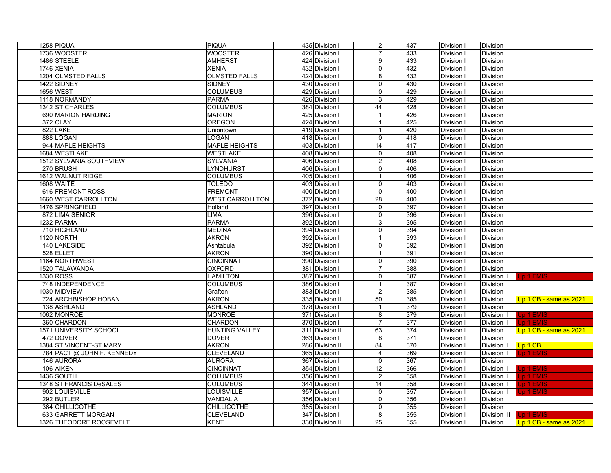| 1736 WOOSTER<br><b>WOOSTER</b><br>$\overline{7}$<br>426 Division I<br>433<br>Division I<br>Division<br><b>AMHERST</b><br>1486 STEELE<br>424 Division I<br>9<br>433<br>Division I<br>Division I<br>1746 XENIA<br><b>XENIA</b><br>432 Division I<br>432<br>Division I<br>0<br>Division I<br>1204 OLMSTED FALLS<br><b>OLMSTED FALLS</b><br>424 Division I<br>432<br>Division I<br>8<br>Division I<br>1422 SIDNEY<br><b>SIDNEY</b><br>430 Division I<br>430<br>Division I<br>Division I<br>0<br><b>1656 WEST</b><br><b>COLUMBUS</b><br>429 Division I<br>429<br>Division I<br>Division I<br>$\mathbf 0$<br><b>PARMA</b><br>429<br>1118 NORMANDY<br>426 Division I<br>Division I<br>Division I<br>3<br>1342 ST CHARLES<br><b>COLUMBUS</b><br>44<br>384 Division I<br>428<br>Division<br>Division I<br>690 MARION HARDING<br><b>MARION</b><br>426<br>Division I<br>425 Division I<br>Division I<br>1<br>372 CLAY<br><b>OREGON</b><br>425<br>424 Division I<br>$\overline{1}$<br>Division I<br>Division I<br>822 LAKE<br>419 Division I<br>420<br>Division I<br>Division I<br>Uniontown<br>$\mathbf{1}$<br>888 LOGAN<br>LOGAN<br>418 Division I<br>418<br>Division I<br>Division I<br>$\mathbf 0$<br>944 MAPLE HEIGHTS<br><b>MAPLE HEIGHTS</b><br>403 Division I<br>14<br>417<br>Division I<br>Division I<br>1684 WESTLAKE<br><b>WESTLAKE</b><br>408 Division I<br>$\mathbf 0$<br>408<br>Division I<br>Division I<br>1512 SYLVANIA SOUTHVIEW<br><b>SYLVANIA</b><br>406 Division I<br>408<br>Division I<br>$\overline{2}$<br>Division I<br>270 BRUSH<br>406 Division I<br>LYNDHURST<br>0<br>406<br>Division I<br>Division I<br>1612 WALNUT RIDGE<br><b>COLUMBUS</b><br>405 Division I<br>406<br>Division I<br>Division I<br>$\mathbf{1}$<br>1608 WAITE<br>TOLEDO<br>403 Division I<br>403<br>Division I<br>Division I<br>$\mathbf 0$<br>616 FREMONT ROSS<br><b>FREMONT</b><br>400<br>400 Division<br>0<br>Division I<br>Division I<br>28<br>1660 WEST CARROLLTON<br><b>WEST CARROLLTON</b><br>372 Division I<br>400<br>Division I<br>Division I<br>1476 SPRINGFIELD<br>$\overline{397}$<br>Holland<br>397 Division I<br>Division I<br>Division I<br>0<br>872 LIMA SENIOR<br><b>LIMA</b><br>396<br>396 Division I<br>$\mathbf 0$<br>Division I<br>Division I<br><b>PARMA</b><br>395<br>1232 PARMA<br>392 Division I<br>3<br>Division I<br>Division I<br><b>MEDINA</b><br>394<br>710 HIGHLAND<br>394 Division I<br>$\pmb{0}$<br>Division I<br>Division I<br><b>AKRON</b><br>393<br>1120 NORTH<br>392 Division I<br>Division I<br>Division I<br>$\mathbf{1}$<br>140 LAKESIDE<br>392<br>Ashtabula<br>392 Division I<br>$\pmb{0}$<br>Division I<br>Division I<br>528 ELLET<br><b>AKRON</b><br>391<br>390 Division I<br>$\mathbf{1}$<br>Division I<br>Division I<br>390<br>1164 NORTHWEST<br><b>CINCINNATI</b><br>390 Division I<br><b>Division I</b><br>$\mathbf 0$<br>Division I<br>388<br>1520 TALAWANDA<br><b>OXFORD</b><br>381 Division I<br>$\overline{7}$<br>Division I<br>Division I<br><b>HAMILTON</b><br>387<br>1330 ROSS<br>387 Division I<br><b>Division I</b><br>Division II<br>0<br>Jp 1 EMIS<br>748 INDEPENDENCE<br>387<br><b>COLUMBUS</b><br>386 Division I<br>$\mathbf{1}$<br>Division I<br>Division I<br>1030 MIDVIEW<br>$\overline{2}$<br>385<br>Grafton<br>383 Division I<br>Division I<br>Division I<br><b>AKRON</b><br>385<br>724 ARCHBISHOP HOBAN<br>335 Division II<br>50<br>Division I<br>Division I<br>Up 1 CB - same as 2021<br>138 ASHLAND<br><b>ASHLAND</b><br>378 Division I<br>379<br><b>Division I</b><br>Division I<br>$\mathbf{1}$<br>1062 MONROE<br><b>MONROE</b><br>379<br>371 Division I<br>8<br>Division I<br>Division II<br>Jp 1 EMIS<br>360 CHARDON<br><b>CHARDON</b><br>370 Division I<br>$\overline{7}$<br>377<br><b>Division II</b><br>Jp 1 EMIS<br>Division I<br>1571 UNIVERSITY SCHOOL<br><b>HUNTING VALLEY</b><br>63<br>374<br>Up 1 CB - same as 2021<br>311 Division II<br>Division I<br>Division I<br>371<br>472 DOVER<br><b>DOVER</b><br>363 Division I<br>8<br><b>Division I</b><br>Division I<br>1384 ST VINCENT-ST MARY<br><b>AKRON</b><br>84<br>286 Division II<br>370<br><b>Division II</b><br>Up 1 CB<br>Division I<br>784 PACT @ JOHN F. KENNEDY<br><b>CLEVELAND</b><br>365 Division I<br>4<br>369<br>Division I<br><b>Division II</b><br>Jp 1 EMIS<br>146 AURORA<br><b>AURORA</b><br>367<br>367 Division I<br>Division I<br>Division I<br>$\Omega$<br>$\overline{12}$<br>106 AIKEN<br><b>CINCINNATI</b><br>354 Division I<br>366<br>Division I<br>Division II<br>Jp 1 EMIS<br>1436 SOUTH<br>358<br>Jp 1 EMIS<br><b>COLUMBUS</b><br>356 Division I<br>$\overline{2}$<br>Division I<br>Division II<br><b>Jp 1 EMIS</b><br>1348 ST FRANCIS DeSALES<br>$\overline{14}$<br>358<br><b>COLUMBUS</b><br>344 Division I<br>Division I<br>Division II<br>902 LOUISVILLE<br><b>LOUISVILLE</b><br>357<br><b>Jp 1 EMIS</b><br>357 Division I<br>Division I<br>Division II<br>0<br>292 BUTLER<br>VANDALIA<br>356<br>Division I<br>356 Division I<br>Division I<br>0<br>364 CHILLICOTHE<br><b>CHILLICOTHE</b><br>355 Division I<br>355<br>Division I<br>Division I<br>633 GARRETT MORGAN<br><b>CLEVELAND</b><br>347 Division I<br>8<br>355<br>Division III<br>Jp 1 EMIS<br>Division I<br>1326 THEODORE ROOSEVELT<br><b>KENT</b><br>$\overline{25}$<br>355<br>330 Division II<br>Division I<br>Division I<br>Up 1 CB - same as 2021 | 1258 PIQUA | <b>PIQUA</b> | 435 Division I | $\overline{c}$ | 437 | Division I | Division I |  |
|----------------------------------------------------------------------------------------------------------------------------------------------------------------------------------------------------------------------------------------------------------------------------------------------------------------------------------------------------------------------------------------------------------------------------------------------------------------------------------------------------------------------------------------------------------------------------------------------------------------------------------------------------------------------------------------------------------------------------------------------------------------------------------------------------------------------------------------------------------------------------------------------------------------------------------------------------------------------------------------------------------------------------------------------------------------------------------------------------------------------------------------------------------------------------------------------------------------------------------------------------------------------------------------------------------------------------------------------------------------------------------------------------------------------------------------------------------------------------------------------------------------------------------------------------------------------------------------------------------------------------------------------------------------------------------------------------------------------------------------------------------------------------------------------------------------------------------------------------------------------------------------------------------------------------------------------------------------------------------------------------------------------------------------------------------------------------------------------------------------------------------------------------------------------------------------------------------------------------------------------------------------------------------------------------------------------------------------------------------------------------------------------------------------------------------------------------------------------------------------------------------------------------------------------------------------------------------------------------------------------------------------------------------------------------------------------------------------------------------------------------------------------------------------------------------------------------------------------------------------------------------------------------------------------------------------------------------------------------------------------------------------------------------------------------------------------------------------------------------------------------------------------------------------------------------------------------------------------------------------------------------------------------------------------------------------------------------------------------------------------------------------------------------------------------------------------------------------------------------------------------------------------------------------------------------------------------------------------------------------------------------------------------------------------------------------------------------------------------------------------------------------------------------------------------------------------------------------------------------------------------------------------------------------------------------------------------------------------------------------------------------------------------------------------------------------------------------------------------------------------------------------------------------------------------------------------------------------------------------------------------------------------------------------------------------------------------------------------------------------------------------------------------------------------------------------------------------------------------------------------------------------------------------------------------------------------------------------------------------------------------------------------------------------------------------------------------------------------------------------------------------------------------------------------------------------------------------------------------------------------------------------------------------------------------------------------------------------------------------------------------------------------------------------------------------------------------------------------------------------------------------------------------------------------------------------------------------------------------------------------------------------------------------------------------------------------------------------------------------------|------------|--------------|----------------|----------------|-----|------------|------------|--|
|                                                                                                                                                                                                                                                                                                                                                                                                                                                                                                                                                                                                                                                                                                                                                                                                                                                                                                                                                                                                                                                                                                                                                                                                                                                                                                                                                                                                                                                                                                                                                                                                                                                                                                                                                                                                                                                                                                                                                                                                                                                                                                                                                                                                                                                                                                                                                                                                                                                                                                                                                                                                                                                                                                                                                                                                                                                                                                                                                                                                                                                                                                                                                                                                                                                                                                                                                                                                                                                                                                                                                                                                                                                                                                                                                                                                                                                                                                                                                                                                                                                                                                                                                                                                                                                                                                                                                                                                                                                                                                                                                                                                                                                                                                                                                                                                                                                                                                                                                                                                                                                                                                                                                                                                                                                                                                                                                                |            |              |                |                |     |            |            |  |
|                                                                                                                                                                                                                                                                                                                                                                                                                                                                                                                                                                                                                                                                                                                                                                                                                                                                                                                                                                                                                                                                                                                                                                                                                                                                                                                                                                                                                                                                                                                                                                                                                                                                                                                                                                                                                                                                                                                                                                                                                                                                                                                                                                                                                                                                                                                                                                                                                                                                                                                                                                                                                                                                                                                                                                                                                                                                                                                                                                                                                                                                                                                                                                                                                                                                                                                                                                                                                                                                                                                                                                                                                                                                                                                                                                                                                                                                                                                                                                                                                                                                                                                                                                                                                                                                                                                                                                                                                                                                                                                                                                                                                                                                                                                                                                                                                                                                                                                                                                                                                                                                                                                                                                                                                                                                                                                                                                |            |              |                |                |     |            |            |  |
|                                                                                                                                                                                                                                                                                                                                                                                                                                                                                                                                                                                                                                                                                                                                                                                                                                                                                                                                                                                                                                                                                                                                                                                                                                                                                                                                                                                                                                                                                                                                                                                                                                                                                                                                                                                                                                                                                                                                                                                                                                                                                                                                                                                                                                                                                                                                                                                                                                                                                                                                                                                                                                                                                                                                                                                                                                                                                                                                                                                                                                                                                                                                                                                                                                                                                                                                                                                                                                                                                                                                                                                                                                                                                                                                                                                                                                                                                                                                                                                                                                                                                                                                                                                                                                                                                                                                                                                                                                                                                                                                                                                                                                                                                                                                                                                                                                                                                                                                                                                                                                                                                                                                                                                                                                                                                                                                                                |            |              |                |                |     |            |            |  |
|                                                                                                                                                                                                                                                                                                                                                                                                                                                                                                                                                                                                                                                                                                                                                                                                                                                                                                                                                                                                                                                                                                                                                                                                                                                                                                                                                                                                                                                                                                                                                                                                                                                                                                                                                                                                                                                                                                                                                                                                                                                                                                                                                                                                                                                                                                                                                                                                                                                                                                                                                                                                                                                                                                                                                                                                                                                                                                                                                                                                                                                                                                                                                                                                                                                                                                                                                                                                                                                                                                                                                                                                                                                                                                                                                                                                                                                                                                                                                                                                                                                                                                                                                                                                                                                                                                                                                                                                                                                                                                                                                                                                                                                                                                                                                                                                                                                                                                                                                                                                                                                                                                                                                                                                                                                                                                                                                                |            |              |                |                |     |            |            |  |
|                                                                                                                                                                                                                                                                                                                                                                                                                                                                                                                                                                                                                                                                                                                                                                                                                                                                                                                                                                                                                                                                                                                                                                                                                                                                                                                                                                                                                                                                                                                                                                                                                                                                                                                                                                                                                                                                                                                                                                                                                                                                                                                                                                                                                                                                                                                                                                                                                                                                                                                                                                                                                                                                                                                                                                                                                                                                                                                                                                                                                                                                                                                                                                                                                                                                                                                                                                                                                                                                                                                                                                                                                                                                                                                                                                                                                                                                                                                                                                                                                                                                                                                                                                                                                                                                                                                                                                                                                                                                                                                                                                                                                                                                                                                                                                                                                                                                                                                                                                                                                                                                                                                                                                                                                                                                                                                                                                |            |              |                |                |     |            |            |  |
|                                                                                                                                                                                                                                                                                                                                                                                                                                                                                                                                                                                                                                                                                                                                                                                                                                                                                                                                                                                                                                                                                                                                                                                                                                                                                                                                                                                                                                                                                                                                                                                                                                                                                                                                                                                                                                                                                                                                                                                                                                                                                                                                                                                                                                                                                                                                                                                                                                                                                                                                                                                                                                                                                                                                                                                                                                                                                                                                                                                                                                                                                                                                                                                                                                                                                                                                                                                                                                                                                                                                                                                                                                                                                                                                                                                                                                                                                                                                                                                                                                                                                                                                                                                                                                                                                                                                                                                                                                                                                                                                                                                                                                                                                                                                                                                                                                                                                                                                                                                                                                                                                                                                                                                                                                                                                                                                                                |            |              |                |                |     |            |            |  |
|                                                                                                                                                                                                                                                                                                                                                                                                                                                                                                                                                                                                                                                                                                                                                                                                                                                                                                                                                                                                                                                                                                                                                                                                                                                                                                                                                                                                                                                                                                                                                                                                                                                                                                                                                                                                                                                                                                                                                                                                                                                                                                                                                                                                                                                                                                                                                                                                                                                                                                                                                                                                                                                                                                                                                                                                                                                                                                                                                                                                                                                                                                                                                                                                                                                                                                                                                                                                                                                                                                                                                                                                                                                                                                                                                                                                                                                                                                                                                                                                                                                                                                                                                                                                                                                                                                                                                                                                                                                                                                                                                                                                                                                                                                                                                                                                                                                                                                                                                                                                                                                                                                                                                                                                                                                                                                                                                                |            |              |                |                |     |            |            |  |
|                                                                                                                                                                                                                                                                                                                                                                                                                                                                                                                                                                                                                                                                                                                                                                                                                                                                                                                                                                                                                                                                                                                                                                                                                                                                                                                                                                                                                                                                                                                                                                                                                                                                                                                                                                                                                                                                                                                                                                                                                                                                                                                                                                                                                                                                                                                                                                                                                                                                                                                                                                                                                                                                                                                                                                                                                                                                                                                                                                                                                                                                                                                                                                                                                                                                                                                                                                                                                                                                                                                                                                                                                                                                                                                                                                                                                                                                                                                                                                                                                                                                                                                                                                                                                                                                                                                                                                                                                                                                                                                                                                                                                                                                                                                                                                                                                                                                                                                                                                                                                                                                                                                                                                                                                                                                                                                                                                |            |              |                |                |     |            |            |  |
|                                                                                                                                                                                                                                                                                                                                                                                                                                                                                                                                                                                                                                                                                                                                                                                                                                                                                                                                                                                                                                                                                                                                                                                                                                                                                                                                                                                                                                                                                                                                                                                                                                                                                                                                                                                                                                                                                                                                                                                                                                                                                                                                                                                                                                                                                                                                                                                                                                                                                                                                                                                                                                                                                                                                                                                                                                                                                                                                                                                                                                                                                                                                                                                                                                                                                                                                                                                                                                                                                                                                                                                                                                                                                                                                                                                                                                                                                                                                                                                                                                                                                                                                                                                                                                                                                                                                                                                                                                                                                                                                                                                                                                                                                                                                                                                                                                                                                                                                                                                                                                                                                                                                                                                                                                                                                                                                                                |            |              |                |                |     |            |            |  |
|                                                                                                                                                                                                                                                                                                                                                                                                                                                                                                                                                                                                                                                                                                                                                                                                                                                                                                                                                                                                                                                                                                                                                                                                                                                                                                                                                                                                                                                                                                                                                                                                                                                                                                                                                                                                                                                                                                                                                                                                                                                                                                                                                                                                                                                                                                                                                                                                                                                                                                                                                                                                                                                                                                                                                                                                                                                                                                                                                                                                                                                                                                                                                                                                                                                                                                                                                                                                                                                                                                                                                                                                                                                                                                                                                                                                                                                                                                                                                                                                                                                                                                                                                                                                                                                                                                                                                                                                                                                                                                                                                                                                                                                                                                                                                                                                                                                                                                                                                                                                                                                                                                                                                                                                                                                                                                                                                                |            |              |                |                |     |            |            |  |
|                                                                                                                                                                                                                                                                                                                                                                                                                                                                                                                                                                                                                                                                                                                                                                                                                                                                                                                                                                                                                                                                                                                                                                                                                                                                                                                                                                                                                                                                                                                                                                                                                                                                                                                                                                                                                                                                                                                                                                                                                                                                                                                                                                                                                                                                                                                                                                                                                                                                                                                                                                                                                                                                                                                                                                                                                                                                                                                                                                                                                                                                                                                                                                                                                                                                                                                                                                                                                                                                                                                                                                                                                                                                                                                                                                                                                                                                                                                                                                                                                                                                                                                                                                                                                                                                                                                                                                                                                                                                                                                                                                                                                                                                                                                                                                                                                                                                                                                                                                                                                                                                                                                                                                                                                                                                                                                                                                |            |              |                |                |     |            |            |  |
|                                                                                                                                                                                                                                                                                                                                                                                                                                                                                                                                                                                                                                                                                                                                                                                                                                                                                                                                                                                                                                                                                                                                                                                                                                                                                                                                                                                                                                                                                                                                                                                                                                                                                                                                                                                                                                                                                                                                                                                                                                                                                                                                                                                                                                                                                                                                                                                                                                                                                                                                                                                                                                                                                                                                                                                                                                                                                                                                                                                                                                                                                                                                                                                                                                                                                                                                                                                                                                                                                                                                                                                                                                                                                                                                                                                                                                                                                                                                                                                                                                                                                                                                                                                                                                                                                                                                                                                                                                                                                                                                                                                                                                                                                                                                                                                                                                                                                                                                                                                                                                                                                                                                                                                                                                                                                                                                                                |            |              |                |                |     |            |            |  |
|                                                                                                                                                                                                                                                                                                                                                                                                                                                                                                                                                                                                                                                                                                                                                                                                                                                                                                                                                                                                                                                                                                                                                                                                                                                                                                                                                                                                                                                                                                                                                                                                                                                                                                                                                                                                                                                                                                                                                                                                                                                                                                                                                                                                                                                                                                                                                                                                                                                                                                                                                                                                                                                                                                                                                                                                                                                                                                                                                                                                                                                                                                                                                                                                                                                                                                                                                                                                                                                                                                                                                                                                                                                                                                                                                                                                                                                                                                                                                                                                                                                                                                                                                                                                                                                                                                                                                                                                                                                                                                                                                                                                                                                                                                                                                                                                                                                                                                                                                                                                                                                                                                                                                                                                                                                                                                                                                                |            |              |                |                |     |            |            |  |
|                                                                                                                                                                                                                                                                                                                                                                                                                                                                                                                                                                                                                                                                                                                                                                                                                                                                                                                                                                                                                                                                                                                                                                                                                                                                                                                                                                                                                                                                                                                                                                                                                                                                                                                                                                                                                                                                                                                                                                                                                                                                                                                                                                                                                                                                                                                                                                                                                                                                                                                                                                                                                                                                                                                                                                                                                                                                                                                                                                                                                                                                                                                                                                                                                                                                                                                                                                                                                                                                                                                                                                                                                                                                                                                                                                                                                                                                                                                                                                                                                                                                                                                                                                                                                                                                                                                                                                                                                                                                                                                                                                                                                                                                                                                                                                                                                                                                                                                                                                                                                                                                                                                                                                                                                                                                                                                                                                |            |              |                |                |     |            |            |  |
|                                                                                                                                                                                                                                                                                                                                                                                                                                                                                                                                                                                                                                                                                                                                                                                                                                                                                                                                                                                                                                                                                                                                                                                                                                                                                                                                                                                                                                                                                                                                                                                                                                                                                                                                                                                                                                                                                                                                                                                                                                                                                                                                                                                                                                                                                                                                                                                                                                                                                                                                                                                                                                                                                                                                                                                                                                                                                                                                                                                                                                                                                                                                                                                                                                                                                                                                                                                                                                                                                                                                                                                                                                                                                                                                                                                                                                                                                                                                                                                                                                                                                                                                                                                                                                                                                                                                                                                                                                                                                                                                                                                                                                                                                                                                                                                                                                                                                                                                                                                                                                                                                                                                                                                                                                                                                                                                                                |            |              |                |                |     |            |            |  |
|                                                                                                                                                                                                                                                                                                                                                                                                                                                                                                                                                                                                                                                                                                                                                                                                                                                                                                                                                                                                                                                                                                                                                                                                                                                                                                                                                                                                                                                                                                                                                                                                                                                                                                                                                                                                                                                                                                                                                                                                                                                                                                                                                                                                                                                                                                                                                                                                                                                                                                                                                                                                                                                                                                                                                                                                                                                                                                                                                                                                                                                                                                                                                                                                                                                                                                                                                                                                                                                                                                                                                                                                                                                                                                                                                                                                                                                                                                                                                                                                                                                                                                                                                                                                                                                                                                                                                                                                                                                                                                                                                                                                                                                                                                                                                                                                                                                                                                                                                                                                                                                                                                                                                                                                                                                                                                                                                                |            |              |                |                |     |            |            |  |
|                                                                                                                                                                                                                                                                                                                                                                                                                                                                                                                                                                                                                                                                                                                                                                                                                                                                                                                                                                                                                                                                                                                                                                                                                                                                                                                                                                                                                                                                                                                                                                                                                                                                                                                                                                                                                                                                                                                                                                                                                                                                                                                                                                                                                                                                                                                                                                                                                                                                                                                                                                                                                                                                                                                                                                                                                                                                                                                                                                                                                                                                                                                                                                                                                                                                                                                                                                                                                                                                                                                                                                                                                                                                                                                                                                                                                                                                                                                                                                                                                                                                                                                                                                                                                                                                                                                                                                                                                                                                                                                                                                                                                                                                                                                                                                                                                                                                                                                                                                                                                                                                                                                                                                                                                                                                                                                                                                |            |              |                |                |     |            |            |  |
|                                                                                                                                                                                                                                                                                                                                                                                                                                                                                                                                                                                                                                                                                                                                                                                                                                                                                                                                                                                                                                                                                                                                                                                                                                                                                                                                                                                                                                                                                                                                                                                                                                                                                                                                                                                                                                                                                                                                                                                                                                                                                                                                                                                                                                                                                                                                                                                                                                                                                                                                                                                                                                                                                                                                                                                                                                                                                                                                                                                                                                                                                                                                                                                                                                                                                                                                                                                                                                                                                                                                                                                                                                                                                                                                                                                                                                                                                                                                                                                                                                                                                                                                                                                                                                                                                                                                                                                                                                                                                                                                                                                                                                                                                                                                                                                                                                                                                                                                                                                                                                                                                                                                                                                                                                                                                                                                                                |            |              |                |                |     |            |            |  |
|                                                                                                                                                                                                                                                                                                                                                                                                                                                                                                                                                                                                                                                                                                                                                                                                                                                                                                                                                                                                                                                                                                                                                                                                                                                                                                                                                                                                                                                                                                                                                                                                                                                                                                                                                                                                                                                                                                                                                                                                                                                                                                                                                                                                                                                                                                                                                                                                                                                                                                                                                                                                                                                                                                                                                                                                                                                                                                                                                                                                                                                                                                                                                                                                                                                                                                                                                                                                                                                                                                                                                                                                                                                                                                                                                                                                                                                                                                                                                                                                                                                                                                                                                                                                                                                                                                                                                                                                                                                                                                                                                                                                                                                                                                                                                                                                                                                                                                                                                                                                                                                                                                                                                                                                                                                                                                                                                                |            |              |                |                |     |            |            |  |
|                                                                                                                                                                                                                                                                                                                                                                                                                                                                                                                                                                                                                                                                                                                                                                                                                                                                                                                                                                                                                                                                                                                                                                                                                                                                                                                                                                                                                                                                                                                                                                                                                                                                                                                                                                                                                                                                                                                                                                                                                                                                                                                                                                                                                                                                                                                                                                                                                                                                                                                                                                                                                                                                                                                                                                                                                                                                                                                                                                                                                                                                                                                                                                                                                                                                                                                                                                                                                                                                                                                                                                                                                                                                                                                                                                                                                                                                                                                                                                                                                                                                                                                                                                                                                                                                                                                                                                                                                                                                                                                                                                                                                                                                                                                                                                                                                                                                                                                                                                                                                                                                                                                                                                                                                                                                                                                                                                |            |              |                |                |     |            |            |  |
|                                                                                                                                                                                                                                                                                                                                                                                                                                                                                                                                                                                                                                                                                                                                                                                                                                                                                                                                                                                                                                                                                                                                                                                                                                                                                                                                                                                                                                                                                                                                                                                                                                                                                                                                                                                                                                                                                                                                                                                                                                                                                                                                                                                                                                                                                                                                                                                                                                                                                                                                                                                                                                                                                                                                                                                                                                                                                                                                                                                                                                                                                                                                                                                                                                                                                                                                                                                                                                                                                                                                                                                                                                                                                                                                                                                                                                                                                                                                                                                                                                                                                                                                                                                                                                                                                                                                                                                                                                                                                                                                                                                                                                                                                                                                                                                                                                                                                                                                                                                                                                                                                                                                                                                                                                                                                                                                                                |            |              |                |                |     |            |            |  |
|                                                                                                                                                                                                                                                                                                                                                                                                                                                                                                                                                                                                                                                                                                                                                                                                                                                                                                                                                                                                                                                                                                                                                                                                                                                                                                                                                                                                                                                                                                                                                                                                                                                                                                                                                                                                                                                                                                                                                                                                                                                                                                                                                                                                                                                                                                                                                                                                                                                                                                                                                                                                                                                                                                                                                                                                                                                                                                                                                                                                                                                                                                                                                                                                                                                                                                                                                                                                                                                                                                                                                                                                                                                                                                                                                                                                                                                                                                                                                                                                                                                                                                                                                                                                                                                                                                                                                                                                                                                                                                                                                                                                                                                                                                                                                                                                                                                                                                                                                                                                                                                                                                                                                                                                                                                                                                                                                                |            |              |                |                |     |            |            |  |
|                                                                                                                                                                                                                                                                                                                                                                                                                                                                                                                                                                                                                                                                                                                                                                                                                                                                                                                                                                                                                                                                                                                                                                                                                                                                                                                                                                                                                                                                                                                                                                                                                                                                                                                                                                                                                                                                                                                                                                                                                                                                                                                                                                                                                                                                                                                                                                                                                                                                                                                                                                                                                                                                                                                                                                                                                                                                                                                                                                                                                                                                                                                                                                                                                                                                                                                                                                                                                                                                                                                                                                                                                                                                                                                                                                                                                                                                                                                                                                                                                                                                                                                                                                                                                                                                                                                                                                                                                                                                                                                                                                                                                                                                                                                                                                                                                                                                                                                                                                                                                                                                                                                                                                                                                                                                                                                                                                |            |              |                |                |     |            |            |  |
|                                                                                                                                                                                                                                                                                                                                                                                                                                                                                                                                                                                                                                                                                                                                                                                                                                                                                                                                                                                                                                                                                                                                                                                                                                                                                                                                                                                                                                                                                                                                                                                                                                                                                                                                                                                                                                                                                                                                                                                                                                                                                                                                                                                                                                                                                                                                                                                                                                                                                                                                                                                                                                                                                                                                                                                                                                                                                                                                                                                                                                                                                                                                                                                                                                                                                                                                                                                                                                                                                                                                                                                                                                                                                                                                                                                                                                                                                                                                                                                                                                                                                                                                                                                                                                                                                                                                                                                                                                                                                                                                                                                                                                                                                                                                                                                                                                                                                                                                                                                                                                                                                                                                                                                                                                                                                                                                                                |            |              |                |                |     |            |            |  |
|                                                                                                                                                                                                                                                                                                                                                                                                                                                                                                                                                                                                                                                                                                                                                                                                                                                                                                                                                                                                                                                                                                                                                                                                                                                                                                                                                                                                                                                                                                                                                                                                                                                                                                                                                                                                                                                                                                                                                                                                                                                                                                                                                                                                                                                                                                                                                                                                                                                                                                                                                                                                                                                                                                                                                                                                                                                                                                                                                                                                                                                                                                                                                                                                                                                                                                                                                                                                                                                                                                                                                                                                                                                                                                                                                                                                                                                                                                                                                                                                                                                                                                                                                                                                                                                                                                                                                                                                                                                                                                                                                                                                                                                                                                                                                                                                                                                                                                                                                                                                                                                                                                                                                                                                                                                                                                                                                                |            |              |                |                |     |            |            |  |
|                                                                                                                                                                                                                                                                                                                                                                                                                                                                                                                                                                                                                                                                                                                                                                                                                                                                                                                                                                                                                                                                                                                                                                                                                                                                                                                                                                                                                                                                                                                                                                                                                                                                                                                                                                                                                                                                                                                                                                                                                                                                                                                                                                                                                                                                                                                                                                                                                                                                                                                                                                                                                                                                                                                                                                                                                                                                                                                                                                                                                                                                                                                                                                                                                                                                                                                                                                                                                                                                                                                                                                                                                                                                                                                                                                                                                                                                                                                                                                                                                                                                                                                                                                                                                                                                                                                                                                                                                                                                                                                                                                                                                                                                                                                                                                                                                                                                                                                                                                                                                                                                                                                                                                                                                                                                                                                                                                |            |              |                |                |     |            |            |  |
|                                                                                                                                                                                                                                                                                                                                                                                                                                                                                                                                                                                                                                                                                                                                                                                                                                                                                                                                                                                                                                                                                                                                                                                                                                                                                                                                                                                                                                                                                                                                                                                                                                                                                                                                                                                                                                                                                                                                                                                                                                                                                                                                                                                                                                                                                                                                                                                                                                                                                                                                                                                                                                                                                                                                                                                                                                                                                                                                                                                                                                                                                                                                                                                                                                                                                                                                                                                                                                                                                                                                                                                                                                                                                                                                                                                                                                                                                                                                                                                                                                                                                                                                                                                                                                                                                                                                                                                                                                                                                                                                                                                                                                                                                                                                                                                                                                                                                                                                                                                                                                                                                                                                                                                                                                                                                                                                                                |            |              |                |                |     |            |            |  |
|                                                                                                                                                                                                                                                                                                                                                                                                                                                                                                                                                                                                                                                                                                                                                                                                                                                                                                                                                                                                                                                                                                                                                                                                                                                                                                                                                                                                                                                                                                                                                                                                                                                                                                                                                                                                                                                                                                                                                                                                                                                                                                                                                                                                                                                                                                                                                                                                                                                                                                                                                                                                                                                                                                                                                                                                                                                                                                                                                                                                                                                                                                                                                                                                                                                                                                                                                                                                                                                                                                                                                                                                                                                                                                                                                                                                                                                                                                                                                                                                                                                                                                                                                                                                                                                                                                                                                                                                                                                                                                                                                                                                                                                                                                                                                                                                                                                                                                                                                                                                                                                                                                                                                                                                                                                                                                                                                                |            |              |                |                |     |            |            |  |
|                                                                                                                                                                                                                                                                                                                                                                                                                                                                                                                                                                                                                                                                                                                                                                                                                                                                                                                                                                                                                                                                                                                                                                                                                                                                                                                                                                                                                                                                                                                                                                                                                                                                                                                                                                                                                                                                                                                                                                                                                                                                                                                                                                                                                                                                                                                                                                                                                                                                                                                                                                                                                                                                                                                                                                                                                                                                                                                                                                                                                                                                                                                                                                                                                                                                                                                                                                                                                                                                                                                                                                                                                                                                                                                                                                                                                                                                                                                                                                                                                                                                                                                                                                                                                                                                                                                                                                                                                                                                                                                                                                                                                                                                                                                                                                                                                                                                                                                                                                                                                                                                                                                                                                                                                                                                                                                                                                |            |              |                |                |     |            |            |  |
|                                                                                                                                                                                                                                                                                                                                                                                                                                                                                                                                                                                                                                                                                                                                                                                                                                                                                                                                                                                                                                                                                                                                                                                                                                                                                                                                                                                                                                                                                                                                                                                                                                                                                                                                                                                                                                                                                                                                                                                                                                                                                                                                                                                                                                                                                                                                                                                                                                                                                                                                                                                                                                                                                                                                                                                                                                                                                                                                                                                                                                                                                                                                                                                                                                                                                                                                                                                                                                                                                                                                                                                                                                                                                                                                                                                                                                                                                                                                                                                                                                                                                                                                                                                                                                                                                                                                                                                                                                                                                                                                                                                                                                                                                                                                                                                                                                                                                                                                                                                                                                                                                                                                                                                                                                                                                                                                                                |            |              |                |                |     |            |            |  |
|                                                                                                                                                                                                                                                                                                                                                                                                                                                                                                                                                                                                                                                                                                                                                                                                                                                                                                                                                                                                                                                                                                                                                                                                                                                                                                                                                                                                                                                                                                                                                                                                                                                                                                                                                                                                                                                                                                                                                                                                                                                                                                                                                                                                                                                                                                                                                                                                                                                                                                                                                                                                                                                                                                                                                                                                                                                                                                                                                                                                                                                                                                                                                                                                                                                                                                                                                                                                                                                                                                                                                                                                                                                                                                                                                                                                                                                                                                                                                                                                                                                                                                                                                                                                                                                                                                                                                                                                                                                                                                                                                                                                                                                                                                                                                                                                                                                                                                                                                                                                                                                                                                                                                                                                                                                                                                                                                                |            |              |                |                |     |            |            |  |
|                                                                                                                                                                                                                                                                                                                                                                                                                                                                                                                                                                                                                                                                                                                                                                                                                                                                                                                                                                                                                                                                                                                                                                                                                                                                                                                                                                                                                                                                                                                                                                                                                                                                                                                                                                                                                                                                                                                                                                                                                                                                                                                                                                                                                                                                                                                                                                                                                                                                                                                                                                                                                                                                                                                                                                                                                                                                                                                                                                                                                                                                                                                                                                                                                                                                                                                                                                                                                                                                                                                                                                                                                                                                                                                                                                                                                                                                                                                                                                                                                                                                                                                                                                                                                                                                                                                                                                                                                                                                                                                                                                                                                                                                                                                                                                                                                                                                                                                                                                                                                                                                                                                                                                                                                                                                                                                                                                |            |              |                |                |     |            |            |  |
|                                                                                                                                                                                                                                                                                                                                                                                                                                                                                                                                                                                                                                                                                                                                                                                                                                                                                                                                                                                                                                                                                                                                                                                                                                                                                                                                                                                                                                                                                                                                                                                                                                                                                                                                                                                                                                                                                                                                                                                                                                                                                                                                                                                                                                                                                                                                                                                                                                                                                                                                                                                                                                                                                                                                                                                                                                                                                                                                                                                                                                                                                                                                                                                                                                                                                                                                                                                                                                                                                                                                                                                                                                                                                                                                                                                                                                                                                                                                                                                                                                                                                                                                                                                                                                                                                                                                                                                                                                                                                                                                                                                                                                                                                                                                                                                                                                                                                                                                                                                                                                                                                                                                                                                                                                                                                                                                                                |            |              |                |                |     |            |            |  |
|                                                                                                                                                                                                                                                                                                                                                                                                                                                                                                                                                                                                                                                                                                                                                                                                                                                                                                                                                                                                                                                                                                                                                                                                                                                                                                                                                                                                                                                                                                                                                                                                                                                                                                                                                                                                                                                                                                                                                                                                                                                                                                                                                                                                                                                                                                                                                                                                                                                                                                                                                                                                                                                                                                                                                                                                                                                                                                                                                                                                                                                                                                                                                                                                                                                                                                                                                                                                                                                                                                                                                                                                                                                                                                                                                                                                                                                                                                                                                                                                                                                                                                                                                                                                                                                                                                                                                                                                                                                                                                                                                                                                                                                                                                                                                                                                                                                                                                                                                                                                                                                                                                                                                                                                                                                                                                                                                                |            |              |                |                |     |            |            |  |
|                                                                                                                                                                                                                                                                                                                                                                                                                                                                                                                                                                                                                                                                                                                                                                                                                                                                                                                                                                                                                                                                                                                                                                                                                                                                                                                                                                                                                                                                                                                                                                                                                                                                                                                                                                                                                                                                                                                                                                                                                                                                                                                                                                                                                                                                                                                                                                                                                                                                                                                                                                                                                                                                                                                                                                                                                                                                                                                                                                                                                                                                                                                                                                                                                                                                                                                                                                                                                                                                                                                                                                                                                                                                                                                                                                                                                                                                                                                                                                                                                                                                                                                                                                                                                                                                                                                                                                                                                                                                                                                                                                                                                                                                                                                                                                                                                                                                                                                                                                                                                                                                                                                                                                                                                                                                                                                                                                |            |              |                |                |     |            |            |  |
|                                                                                                                                                                                                                                                                                                                                                                                                                                                                                                                                                                                                                                                                                                                                                                                                                                                                                                                                                                                                                                                                                                                                                                                                                                                                                                                                                                                                                                                                                                                                                                                                                                                                                                                                                                                                                                                                                                                                                                                                                                                                                                                                                                                                                                                                                                                                                                                                                                                                                                                                                                                                                                                                                                                                                                                                                                                                                                                                                                                                                                                                                                                                                                                                                                                                                                                                                                                                                                                                                                                                                                                                                                                                                                                                                                                                                                                                                                                                                                                                                                                                                                                                                                                                                                                                                                                                                                                                                                                                                                                                                                                                                                                                                                                                                                                                                                                                                                                                                                                                                                                                                                                                                                                                                                                                                                                                                                |            |              |                |                |     |            |            |  |
|                                                                                                                                                                                                                                                                                                                                                                                                                                                                                                                                                                                                                                                                                                                                                                                                                                                                                                                                                                                                                                                                                                                                                                                                                                                                                                                                                                                                                                                                                                                                                                                                                                                                                                                                                                                                                                                                                                                                                                                                                                                                                                                                                                                                                                                                                                                                                                                                                                                                                                                                                                                                                                                                                                                                                                                                                                                                                                                                                                                                                                                                                                                                                                                                                                                                                                                                                                                                                                                                                                                                                                                                                                                                                                                                                                                                                                                                                                                                                                                                                                                                                                                                                                                                                                                                                                                                                                                                                                                                                                                                                                                                                                                                                                                                                                                                                                                                                                                                                                                                                                                                                                                                                                                                                                                                                                                                                                |            |              |                |                |     |            |            |  |
|                                                                                                                                                                                                                                                                                                                                                                                                                                                                                                                                                                                                                                                                                                                                                                                                                                                                                                                                                                                                                                                                                                                                                                                                                                                                                                                                                                                                                                                                                                                                                                                                                                                                                                                                                                                                                                                                                                                                                                                                                                                                                                                                                                                                                                                                                                                                                                                                                                                                                                                                                                                                                                                                                                                                                                                                                                                                                                                                                                                                                                                                                                                                                                                                                                                                                                                                                                                                                                                                                                                                                                                                                                                                                                                                                                                                                                                                                                                                                                                                                                                                                                                                                                                                                                                                                                                                                                                                                                                                                                                                                                                                                                                                                                                                                                                                                                                                                                                                                                                                                                                                                                                                                                                                                                                                                                                                                                |            |              |                |                |     |            |            |  |
|                                                                                                                                                                                                                                                                                                                                                                                                                                                                                                                                                                                                                                                                                                                                                                                                                                                                                                                                                                                                                                                                                                                                                                                                                                                                                                                                                                                                                                                                                                                                                                                                                                                                                                                                                                                                                                                                                                                                                                                                                                                                                                                                                                                                                                                                                                                                                                                                                                                                                                                                                                                                                                                                                                                                                                                                                                                                                                                                                                                                                                                                                                                                                                                                                                                                                                                                                                                                                                                                                                                                                                                                                                                                                                                                                                                                                                                                                                                                                                                                                                                                                                                                                                                                                                                                                                                                                                                                                                                                                                                                                                                                                                                                                                                                                                                                                                                                                                                                                                                                                                                                                                                                                                                                                                                                                                                                                                |            |              |                |                |     |            |            |  |
|                                                                                                                                                                                                                                                                                                                                                                                                                                                                                                                                                                                                                                                                                                                                                                                                                                                                                                                                                                                                                                                                                                                                                                                                                                                                                                                                                                                                                                                                                                                                                                                                                                                                                                                                                                                                                                                                                                                                                                                                                                                                                                                                                                                                                                                                                                                                                                                                                                                                                                                                                                                                                                                                                                                                                                                                                                                                                                                                                                                                                                                                                                                                                                                                                                                                                                                                                                                                                                                                                                                                                                                                                                                                                                                                                                                                                                                                                                                                                                                                                                                                                                                                                                                                                                                                                                                                                                                                                                                                                                                                                                                                                                                                                                                                                                                                                                                                                                                                                                                                                                                                                                                                                                                                                                                                                                                                                                |            |              |                |                |     |            |            |  |
|                                                                                                                                                                                                                                                                                                                                                                                                                                                                                                                                                                                                                                                                                                                                                                                                                                                                                                                                                                                                                                                                                                                                                                                                                                                                                                                                                                                                                                                                                                                                                                                                                                                                                                                                                                                                                                                                                                                                                                                                                                                                                                                                                                                                                                                                                                                                                                                                                                                                                                                                                                                                                                                                                                                                                                                                                                                                                                                                                                                                                                                                                                                                                                                                                                                                                                                                                                                                                                                                                                                                                                                                                                                                                                                                                                                                                                                                                                                                                                                                                                                                                                                                                                                                                                                                                                                                                                                                                                                                                                                                                                                                                                                                                                                                                                                                                                                                                                                                                                                                                                                                                                                                                                                                                                                                                                                                                                |            |              |                |                |     |            |            |  |
|                                                                                                                                                                                                                                                                                                                                                                                                                                                                                                                                                                                                                                                                                                                                                                                                                                                                                                                                                                                                                                                                                                                                                                                                                                                                                                                                                                                                                                                                                                                                                                                                                                                                                                                                                                                                                                                                                                                                                                                                                                                                                                                                                                                                                                                                                                                                                                                                                                                                                                                                                                                                                                                                                                                                                                                                                                                                                                                                                                                                                                                                                                                                                                                                                                                                                                                                                                                                                                                                                                                                                                                                                                                                                                                                                                                                                                                                                                                                                                                                                                                                                                                                                                                                                                                                                                                                                                                                                                                                                                                                                                                                                                                                                                                                                                                                                                                                                                                                                                                                                                                                                                                                                                                                                                                                                                                                                                |            |              |                |                |     |            |            |  |
|                                                                                                                                                                                                                                                                                                                                                                                                                                                                                                                                                                                                                                                                                                                                                                                                                                                                                                                                                                                                                                                                                                                                                                                                                                                                                                                                                                                                                                                                                                                                                                                                                                                                                                                                                                                                                                                                                                                                                                                                                                                                                                                                                                                                                                                                                                                                                                                                                                                                                                                                                                                                                                                                                                                                                                                                                                                                                                                                                                                                                                                                                                                                                                                                                                                                                                                                                                                                                                                                                                                                                                                                                                                                                                                                                                                                                                                                                                                                                                                                                                                                                                                                                                                                                                                                                                                                                                                                                                                                                                                                                                                                                                                                                                                                                                                                                                                                                                                                                                                                                                                                                                                                                                                                                                                                                                                                                                |            |              |                |                |     |            |            |  |
|                                                                                                                                                                                                                                                                                                                                                                                                                                                                                                                                                                                                                                                                                                                                                                                                                                                                                                                                                                                                                                                                                                                                                                                                                                                                                                                                                                                                                                                                                                                                                                                                                                                                                                                                                                                                                                                                                                                                                                                                                                                                                                                                                                                                                                                                                                                                                                                                                                                                                                                                                                                                                                                                                                                                                                                                                                                                                                                                                                                                                                                                                                                                                                                                                                                                                                                                                                                                                                                                                                                                                                                                                                                                                                                                                                                                                                                                                                                                                                                                                                                                                                                                                                                                                                                                                                                                                                                                                                                                                                                                                                                                                                                                                                                                                                                                                                                                                                                                                                                                                                                                                                                                                                                                                                                                                                                                                                |            |              |                |                |     |            |            |  |
|                                                                                                                                                                                                                                                                                                                                                                                                                                                                                                                                                                                                                                                                                                                                                                                                                                                                                                                                                                                                                                                                                                                                                                                                                                                                                                                                                                                                                                                                                                                                                                                                                                                                                                                                                                                                                                                                                                                                                                                                                                                                                                                                                                                                                                                                                                                                                                                                                                                                                                                                                                                                                                                                                                                                                                                                                                                                                                                                                                                                                                                                                                                                                                                                                                                                                                                                                                                                                                                                                                                                                                                                                                                                                                                                                                                                                                                                                                                                                                                                                                                                                                                                                                                                                                                                                                                                                                                                                                                                                                                                                                                                                                                                                                                                                                                                                                                                                                                                                                                                                                                                                                                                                                                                                                                                                                                                                                |            |              |                |                |     |            |            |  |
|                                                                                                                                                                                                                                                                                                                                                                                                                                                                                                                                                                                                                                                                                                                                                                                                                                                                                                                                                                                                                                                                                                                                                                                                                                                                                                                                                                                                                                                                                                                                                                                                                                                                                                                                                                                                                                                                                                                                                                                                                                                                                                                                                                                                                                                                                                                                                                                                                                                                                                                                                                                                                                                                                                                                                                                                                                                                                                                                                                                                                                                                                                                                                                                                                                                                                                                                                                                                                                                                                                                                                                                                                                                                                                                                                                                                                                                                                                                                                                                                                                                                                                                                                                                                                                                                                                                                                                                                                                                                                                                                                                                                                                                                                                                                                                                                                                                                                                                                                                                                                                                                                                                                                                                                                                                                                                                                                                |            |              |                |                |     |            |            |  |
|                                                                                                                                                                                                                                                                                                                                                                                                                                                                                                                                                                                                                                                                                                                                                                                                                                                                                                                                                                                                                                                                                                                                                                                                                                                                                                                                                                                                                                                                                                                                                                                                                                                                                                                                                                                                                                                                                                                                                                                                                                                                                                                                                                                                                                                                                                                                                                                                                                                                                                                                                                                                                                                                                                                                                                                                                                                                                                                                                                                                                                                                                                                                                                                                                                                                                                                                                                                                                                                                                                                                                                                                                                                                                                                                                                                                                                                                                                                                                                                                                                                                                                                                                                                                                                                                                                                                                                                                                                                                                                                                                                                                                                                                                                                                                                                                                                                                                                                                                                                                                                                                                                                                                                                                                                                                                                                                                                |            |              |                |                |     |            |            |  |
|                                                                                                                                                                                                                                                                                                                                                                                                                                                                                                                                                                                                                                                                                                                                                                                                                                                                                                                                                                                                                                                                                                                                                                                                                                                                                                                                                                                                                                                                                                                                                                                                                                                                                                                                                                                                                                                                                                                                                                                                                                                                                                                                                                                                                                                                                                                                                                                                                                                                                                                                                                                                                                                                                                                                                                                                                                                                                                                                                                                                                                                                                                                                                                                                                                                                                                                                                                                                                                                                                                                                                                                                                                                                                                                                                                                                                                                                                                                                                                                                                                                                                                                                                                                                                                                                                                                                                                                                                                                                                                                                                                                                                                                                                                                                                                                                                                                                                                                                                                                                                                                                                                                                                                                                                                                                                                                                                                |            |              |                |                |     |            |            |  |
|                                                                                                                                                                                                                                                                                                                                                                                                                                                                                                                                                                                                                                                                                                                                                                                                                                                                                                                                                                                                                                                                                                                                                                                                                                                                                                                                                                                                                                                                                                                                                                                                                                                                                                                                                                                                                                                                                                                                                                                                                                                                                                                                                                                                                                                                                                                                                                                                                                                                                                                                                                                                                                                                                                                                                                                                                                                                                                                                                                                                                                                                                                                                                                                                                                                                                                                                                                                                                                                                                                                                                                                                                                                                                                                                                                                                                                                                                                                                                                                                                                                                                                                                                                                                                                                                                                                                                                                                                                                                                                                                                                                                                                                                                                                                                                                                                                                                                                                                                                                                                                                                                                                                                                                                                                                                                                                                                                |            |              |                |                |     |            |            |  |